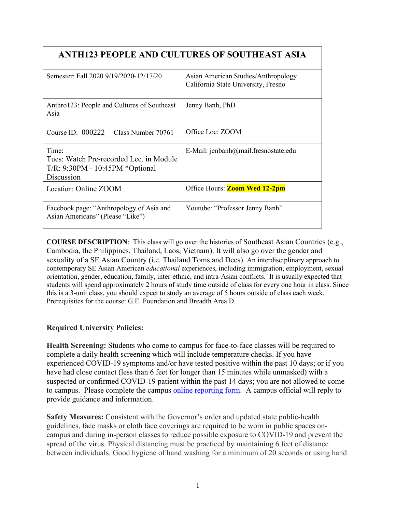|                                                                                                     | <b>ANTH123 PEOPLE AND CULTURES OF SOUTHEAST ASIA</b>                       |
|-----------------------------------------------------------------------------------------------------|----------------------------------------------------------------------------|
| Semester: Fall 2020 9/19/2020-12/17/20                                                              | Asian American Studies/Anthropology<br>California State University, Fresno |
| Anthro123: People and Cultures of Southeast<br>Asia                                                 | Jenny Banh, PhD                                                            |
| Course ID: $000222$<br>Class Number 70761                                                           | Office Loc: ZOOM                                                           |
| Time:<br>Tues: Watch Pre-recorded Lec. in Module<br>$T/R: 9:30PM - 10:45PM *Optional$<br>Discussion | E-Mail: jenbanh@mail.fresnostate.edu                                       |
| Location: Online ZOOM                                                                               | Office Hours: <b>Zoom Wed 12-2pm</b>                                       |
| Facebook page: "Anthropology of Asia and                                                            | Youtube: "Professor Jenny Banh"                                            |

**COURSE DESCRIPTION**: This class will go over the histories of Southeast Asian Countries (e.g., Cambodia, the Philippines, Thailand, Laos, Vietnam). It will also go over the gender and sexuality of a SE Asian Country (i.e. Thailand Toms and Dees). An interdisciplinary approach to contemporary SE Asian American *educational* experiences, including immigration, employment, sexual orientation, gender, education, family, inter-ethnic, and intra-Asian conflicts. It is usually expected that students will spend approximately 2 hours of study time outside of class for every one hour in class. Since this is a 3-unit class, you should expect to study an average of 5 hours outside of class each week. Prerequisites for the course: G.E. Foundation and Breadth Area D.

## **Required University Policies:**

Asian Americans" (Please "Like")

**Health Screening:** Students who come to campus for face-to-face classes will be required to complete a daily health screening which will include temperature checks. If you have experienced COVID-19 symptoms and/or have tested positive within the past 10 days; or if you have had close contact (less than 6 feet for longer than 15 minutes while unmasked) with a suspected or confirmed COVID-19 patient within the past 14 days; you are not allowed to come to campus. Please complete the campus [online reporting form.](https://fresnostate.co1.qualtrics.com/jfe/form/SV_3faIAsuC8CzuFjD?Q_FormSessionID=FS_UFJ902LXgDJbKeZ) A campus official will reply to provide guidance and information.

**Safety Measures:** Consistent with the Governor's order and updated state public-health guidelines, face masks or cloth face coverings are required to be worn in public spaces oncampus and during in-person classes to reduce possible exposure to COVID-19 and prevent the spread of the virus. Physical distancing must be practiced by maintaining 6 feet of distance between individuals. Good hygiene of hand washing for a minimum of 20 seconds or using hand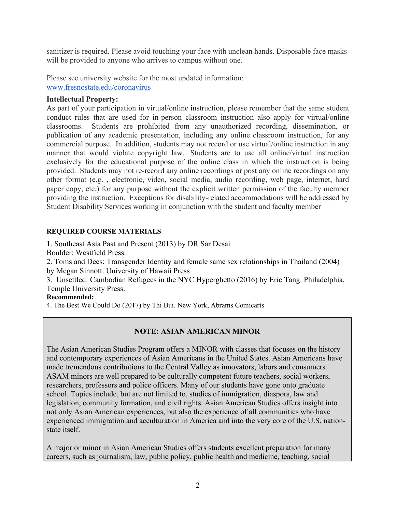sanitizer is required. Please avoid touching your face with unclean hands. Disposable face masks will be provided to anyone who arrives to campus without one.

Please see university website for the most updated information: [www.fresnostate.edu/coronavirus](http://www.fresnostate.edu/coronavirus)

## **Intellectual Property:**

As part of your participation in virtual/online instruction, please remember that the same student conduct rules that are used for in-person classroom instruction also apply for virtual/online classrooms. Students are prohibited from any unauthorized recording, dissemination, or publication of any academic presentation, including any online classroom instruction, for any commercial purpose. In addition, students may not record or use virtual/online instruction in any manner that would violate copyright law. Students are to use all online/virtual instruction exclusively for the educational purpose of the online class in which the instruction is being provided. Students may not re-record any online recordings or post any online recordings on any other format (e.g. , electronic, video, social media, audio recording, web page, internet, hard paper copy, etc.) for any purpose without the explicit written permission of the faculty member providing the instruction. Exceptions for disability-related accommodations will be addressed by Student Disability Services working in conjunction with the student and faculty member

## **REQUIRED COURSE MATERIALS**

1. Southeast Asia Past and Present (2013) by DR Sar Desai Boulder: Westfield Press.

2. Toms and Dees: Transgender Identity and female same sex relationships in Thailand (2004) by Megan Sinnott. University of Hawaii Press

3. Unsettled: Cambodian Refugees in the NYC Hyperghetto (2016) by Eric Tang. Philadelphia, Temple University Press.

## **Recommended:**

4. The Best We Could Do (2017) by Thi Bui. New York, Abrams Comicarts

## **NOTE: ASIAN AMERICAN MINOR**

The Asian American Studies Program offers a MINOR with classes that focuses on the history and contemporary experiences of Asian Americans in the United States. Asian Americans have made tremendous contributions to the Central Valley as innovators, labors and consumers. ASAM minors are well prepared to be culturally competent future teachers, social workers, researchers, professors and police officers. Many of our students have gone onto graduate school. Topics include, but are not limited to, studies of immigration, diaspora, law and legislation, community formation, and civil rights. Asian American Studies offers insight into not only Asian American experiences, but also the experience of all communities who have experienced immigration and acculturation in America and into the very core of the U.S. nationstate itself.

A major or minor in Asian American Studies offers students excellent preparation for many careers, such as journalism, law, public policy, public health and medicine, teaching, social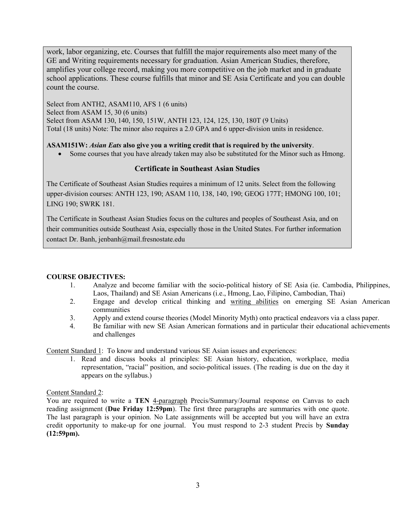work, labor organizing, etc. Courses that fulfill the major requirements also meet many of the GE and Writing requirements necessary for graduation. Asian American Studies, therefore, amplifies your college record, making you more competitive on the job market and in graduate school applications. These course fulfills that minor and SE Asia Certificate and you can double count the course.

Select from ANTH2, ASAM110, AFS 1 (6 units) Select from ASAM 15, 30 (6 units) Select from ASAM 130, 140, 150, 151W, ANTH 123, 124, 125, 130, 180T (9 Units) Total (18 units) Note: The minor also requires a 2.0 GPA and 6 upper-division units in residence.

#### **ASAM151W:** *Asian Eats* **also give you a writing credit that is required by the university**.

• Some courses that you have already taken may also be substituted for the Minor such as Hmong.

#### **Certificate in Southeast Asian Studies**

The Certificate of Southeast Asian Studies requires a minimum of 12 units. Select from the following upper-division courses: ANTH 123, 190; ASAM 110, 138, 140, 190; GEOG 177T; HMONG 100, 101; LING 190; SWRK 181.

The Certificate in Southeast Asian Studies focus on the cultures and peoples of Southeast Asia, and on their communities outside Southeast Asia, especially those in the United States. For further information contact Dr. Banh, jenbanh@mail.fresnostate.edu

#### **COURSE OBJECTIVES:**

- 1. Analyze and become familiar with the socio-political history of SE Asia (ie. Cambodia, Philippines, Laos, Thailand) and SE Asian Americans (i.e., Hmong, Lao, Filipino, Cambodian, Thai)
- 2. Engage and develop critical thinking and writing abilities on emerging SE Asian American communities
- 3. Apply and extend course theories (Model Minority Myth) onto practical endeavors via a class paper.
- 4. Be familiar with new SE Asian American formations and in particular their educational achievements and challenges

Content Standard 1: To know and understand various SE Asian issues and experiences:

1. Read and discuss books al principles: SE Asian history, education, workplace, media representation, "racial" position, and socio-political issues. (The reading is due on the day it appears on the syllabus.)

#### Content Standard 2:

You are required to write a **TEN** 4-paragraph Precis/Summary/Journal response on Canvas to each reading assignment (**Due Friday 12:59pm**). The first three paragraphs are summaries with one quote. The last paragraph is your opinion. No Late assignments will be accepted but you will have an extra credit opportunity to make-up for one journal. You must respond to 2-3 student Precis by **Sunday (12:59pm).**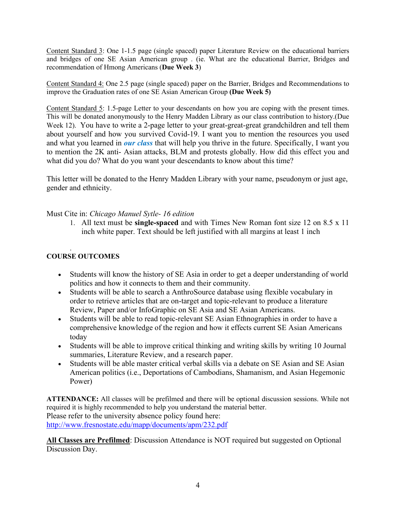Content Standard 3: One 1-1.5 page (single spaced) paper Literature Review on the educational barriers and bridges of one SE Asian American group . (ie. What are the educational Barrier, Bridges and recommendation of Hmong Americans (**Due Week 3**)

Content Standard 4: One 2.5 page (single spaced) paper on the Barrier, Bridges and Recommendations to improve the Graduation rates of one SE Asian American Group **(Due Week 5)**

Content Standard 5: 1.5-page Letter to your descendants on how you are coping with the present times. This will be donated anonymously to the Henry Madden Library as our class contribution to history.(Due Week 12). You have to write a 2-page letter to your great-great-great grandchildren and tell them about yourself and how you survived Covid-19. I want you to mention the resources you used and what you learned in *our class* that will help you thrive in the future. Specifically, I want you to mention the 2K anti- Asian attacks, BLM and protests globally. How did this effect you and what did you do? What do you want your descendants to know about this time?

This letter will be donated to the Henry Madden Library with your name, pseudonym or just age, gender and ethnicity.

## Must Cite in: *Chicago Manuel Sytle- 16 edition*

1. All text must be **single-spaced** and with Times New Roman font size 12 on 8.5 x 11 inch white paper. Text should be left justified with all margins at least 1 inch

#### . **COURSE OUTCOMES**

- Students will know the history of SE Asia in order to get a deeper understanding of world politics and how it connects to them and their community.
- Students will be able to search a AnthroSource database using flexible vocabulary in order to retrieve articles that are on-target and topic-relevant to produce a literature Review, Paper and/or InfoGraphic on SE Asia and SE Asian Americans.
- Students will be able to read topic-relevant SE Asian Ethnographies in order to have a comprehensive knowledge of the region and how it effects current SE Asian Americans today
- Students will be able to improve critical thinking and writing skills by writing 10 Journal summaries, Literature Review, and a research paper.
- Students will be able master critical verbal skills via a debate on SE Asian and SE Asian American politics (i.e., Deportations of Cambodians, Shamanism, and Asian Hegemonic Power)

**ATTENDANCE:** All classes will be prefilmed and there will be optional discussion sessions. While not required it is highly recommended to help you understand the material better. Please refer to the university absence policy found here: http://www.fresnostate.edu/mapp/documents/apm/232.pdf

**All Classes are Prefilmed**: Discussion Attendance is NOT required but suggested on Optional Discussion Day.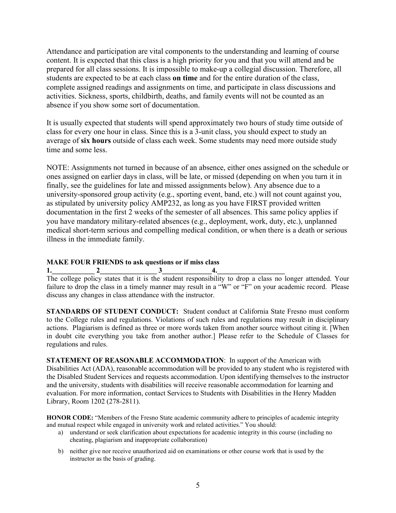Attendance and participation are vital components to the understanding and learning of course content. It is expected that this class is a high priority for you and that you will attend and be prepared for all class sessions. It is impossible to make-up a collegial discussion. Therefore, all students are expected to be at each class **on time** and for the entire duration of the class, complete assigned readings and assignments on time, and participate in class discussions and activities. Sickness, sports, childbirth, deaths, and family events will not be counted as an absence if you show some sort of documentation.

It is usually expected that students will spend approximately two hours of study time outside of class for every one hour in class. Since this is a 3-unit class, you should expect to study an average of **six hours** outside of class each week. Some students may need more outside study time and some less.

NOTE: Assignments not turned in because of an absence, either ones assigned on the schedule or ones assigned on earlier days in class, will be late, or missed (depending on when you turn it in finally, see the guidelines for late and missed assignments below). Any absence due to a university-sponsored group activity (e.g., sporting event, band, etc.) will not count against you, as stipulated by university policy AMP232, as long as you have FIRST provided written documentation in the first 2 weeks of the semester of all absences. This same policy applies if you have mandatory military-related absences (e.g., deployment, work, duty, etc.), unplanned medical short-term serious and compelling medical condition, or when there is a death or serious illness in the immediate family.

# **MAKE FOUR FRIENDS to ask questions or if miss class**<br>1. 2 3 4.

**1.\_\_\_\_\_\_\_\_\_\_\_\_ 2\_\_\_\_\_\_\_\_\_\_\_\_\_\_\_\_ 3\_\_\_\_\_\_\_\_\_\_\_\_\_\_4.\_\_\_\_\_\_\_\_\_\_\_\_\_\_\_\_\_\_\_**

The college policy states that it is the student responsibility to drop a class no longer attended. Your failure to drop the class in a timely manner may result in a "W" or "F" on your academic record. Please discuss any changes in class attendance with the instructor.

**STANDARDS OF STUDENT CONDUCT:** Student conduct at California State Fresno must conform to the College rules and regulations. Violations of such rules and regulations may result in disciplinary actions. Plagiarism is defined as three or more words taken from another source without citing it. [When in doubt cite everything you take from another author.] Please refer to the Schedule of Classes for regulations and rules.

**STATEMENT OF REASONABLE ACCOMMODATION**: In support of the American with Disabilities Act (ADA), reasonable accommodation will be provided to any student who is registered with the Disabled Student Services and requests accommodation. Upon identifying themselves to the instructor and the university, students with disabilities will receive reasonable accommodation for learning and evaluation. For more information, contact Services to Students with Disabilities in the Henry Madden Library, Room 1202 (278-2811).

**HONOR CODE:** "Members of the Fresno State academic community adhere to principles of academic integrity and mutual respect while engaged in university work and related activities." You should:

- a) understand or seek clarification about expectations for academic integrity in this course (including no cheating, plagiarism and inappropriate collaboration)
- b) neither give nor receive unauthorized aid on examinations or other course work that is used by the instructor as the basis of grading.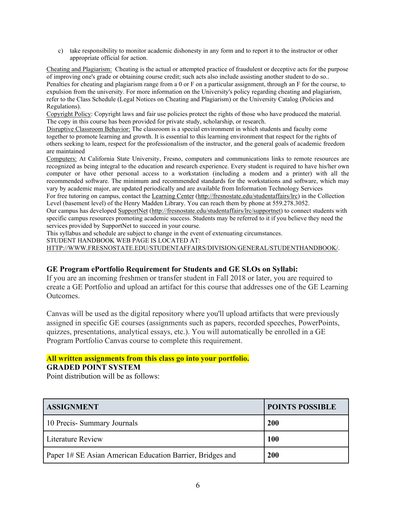c) take responsibility to monitor academic dishonesty in any form and to report it to the instructor or other appropriate official for action.

Cheating and Plagiarism: Cheating is the actual or attempted practice of fraudulent or deceptive acts for the purpose of improving one's grade or obtaining course credit; such acts also include assisting another student to do so.. Penalties for cheating and plagiarism range from a 0 or F on a particular assignment, through an F for the course, to expulsion from the university. For more information on the University's policy regarding cheating and plagiarism, refer to the Class Schedule (Legal Notices on Cheating and Plagiarism) or the University Catalog (Policies and Regulations).

Copyright Policy: Copyright laws and fair use policies protect the rights of those who have produced the material. The copy in this course has been provided for private study, scholarship, or research.

Disruptive Classroom Behavior: The classroom is a special environment in which students and faculty come together to promote learning and growth. It is essential to this learning environment that respect for the rights of others seeking to learn, respect for the professionalism of the instructor, and the general goals of academic freedom are maintained

Computers: At California State University, Fresno, computers and communications links to remote resources are recognized as being integral to the education and research experience. Every student is required to have his/her own computer or have other personal access to a workstation (including a modem and a printer) with all the recommended software. The minimum and recommended standards for the workstations and software, which may vary by academic major, are updated periodically and are available from Information Technology Services

For free tutoring on campus, contact th[e Learning Center](http://www.fresnostate.edu/learningcenter) [\(http://fresnostate.edu/studentaffairs/lrc\)](http://fresnostate.edu/studentaffairs/lrc) in the Collection Level (basement level) of the Henry Madden Library. You can reach them by phone at 559.278.3052.

Our campus has develope[d SupportNet](http://fresnostate.edu/studentaffairs/lrc/supportnet/) [\(http://fresnostate.edu/studentaffairs/lrc/supportnet\)](http://fresnostate.edu/studentaffairs/lrc/supportnet) to connect students with specific campus resources promoting academic success. Students may be referred to it if you believe they need the services provided by SupportNet to succeed in your course.

This syllabus and schedule are subject to change in the event of extenuating circumstances.

STUDENT HANDBOOK WEB PAGE IS LOCATED AT:

[HTTP://WWW.FRESNOSTATE.EDU/STUDENTAFFAIRS/DIVISION/GENERAL/STUDENTHANDBOOK/.](http://www.fresnostate.edu/studentaffairs/division/general/studenthandbook/)

## **GE Program ePortfolio Requirement for Students and GE SLOs on Syllabi:**

If you are an incoming freshmen or transfer student in Fall 2018 or later, you are required to create a GE Portfolio and upload an artifact for this course that addresses one of the GE Learning Outcomes.

Canvas will be used as the digital repository where you'll upload artifacts that were previously assigned in specific GE courses (assignments such as papers, recorded speeches, PowerPoints, quizzes, presentations, analytical essays, etc.). You will automatically be enrolled in a GE Program Portfolio Canvas course to complete this requirement.

## **All written assignments from this class go into your portfolio.**

## **GRADED POINT SYSTEM**

Point distribution will be as follows:

| <b>ASSIGNMENT</b>                                         | <b>POINTS POSSIBLE</b> |
|-----------------------------------------------------------|------------------------|
| 10 Precis- Summary Journals                               | 200                    |
| Literature Review                                         | <b>100</b>             |
| Paper 1# SE Asian American Education Barrier, Bridges and | 200                    |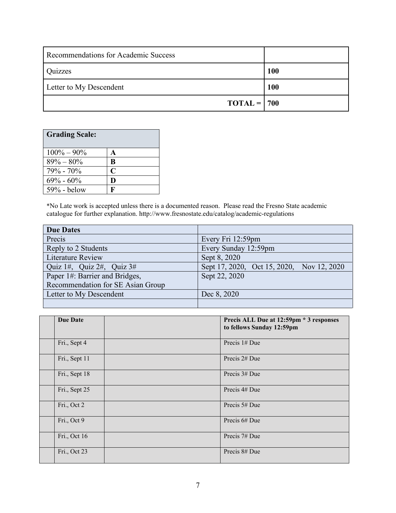| Recommendations for Academic Success |     |
|--------------------------------------|-----|
| Quizzes                              | 100 |
| Letter to My Descendent              | 100 |
| $TOTAL = 700$                        |     |

| <b>Grading Scale:</b> |   |
|-----------------------|---|
| $100\% - 90\%$        | A |
| $89\% - 80\%$         | B |
| $79\% - 70\%$         | C |
| $69\% - 60\%$         | D |
| $59\%$ - below        | н |

\*No Late work is accepted unless there is a documented reason. Please read the Fresno State academic catalogue for further explanation.<http://www.fresnostate.edu/catalog/academic-regulations>

| <b>Due Dates</b>                  |                                           |
|-----------------------------------|-------------------------------------------|
| Precis                            | Every Fri 12:59pm                         |
| Reply to 2 Students               | Every Sunday 12:59pm                      |
| <b>Literature Review</b>          | Sept 8, 2020                              |
| Quiz 1#, Quiz 2#, Quiz $3#$       | Sept 17, 2020, Oct 15, 2020, Nov 12, 2020 |
| Paper 1#: Barrier and Bridges,    | Sept 22, 2020                             |
| Recommendation for SE Asian Group |                                           |
| Letter to My Descendent           | Dec 8, 2020                               |
|                                   |                                           |

| <b>Due Date</b> | Precis ALL Due at 12:59pm * 3 responses<br>to fellows Sunday 12:59pm |
|-----------------|----------------------------------------------------------------------|
| Fri., Sept 4    | Precis $1#$ Due                                                      |
| Fri., Sept 11   | Precis 2# Due                                                        |
| Fri., Sept 18   | Precis 3# Due                                                        |
| Fri., Sept 25   | Precis 4# Due                                                        |
| Fri., Oct 2     | Precis 5# Due                                                        |
| Fri., Oct 9     | Precis 6# Due                                                        |
| Fri., Oct 16    | Precis 7# Due                                                        |
| Fri., Oct 23    | Precis 8# Due                                                        |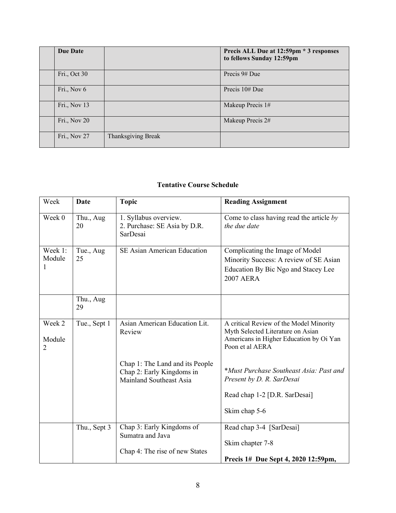| Due Date     |                    | Precis ALL Due at 12:59pm * 3 responses<br>to fellows Sunday 12:59pm |
|--------------|--------------------|----------------------------------------------------------------------|
| Fri., Oct 30 |                    | Precis 9# Due                                                        |
| Fri., Nov 6  |                    | Precis 10# Due                                                       |
| Fri., Nov 13 |                    | Makeup Precis 1#                                                     |
| Fri., Nov 20 |                    | Makeup Precis 2#                                                     |
| Fri., Nov 27 | Thanksgiving Break |                                                                      |

## **Tentative Course Schedule**

| Week                   | Date            | <b>Topic</b>                                                                            | <b>Reading Assignment</b>                                                                                                                  |
|------------------------|-----------------|-----------------------------------------------------------------------------------------|--------------------------------------------------------------------------------------------------------------------------------------------|
| Week 0                 | Thu., Aug<br>20 | 1. Syllabus overview.<br>2. Purchase: SE Asia by D.R.<br>SarDesai                       | Come to class having read the article $by$<br>the due date                                                                                 |
| Week 1:<br>Module<br>1 | Tue., Aug<br>25 | SE Asian American Education                                                             | Complicating the Image of Model<br>Minority Success: A review of SE Asian<br>Education By Bic Ngo and Stacey Lee<br><b>2007 AERA</b>       |
|                        | Thu., Aug<br>29 |                                                                                         |                                                                                                                                            |
| Week 2<br>Module<br>2  | Tue., Sept 1    | Asian American Education Lit.<br>Review                                                 | A critical Review of the Model Minority<br>Myth Selected Literature on Asian<br>Americans in Higher Education by Oi Yan<br>Poon et al AERA |
|                        |                 | Chap 1: The Land and its People<br>Chap 2: Early Kingdoms in<br>Mainland Southeast Asia | *Must Purchase Southeast Asia: Past and<br>Present by D. R. SarDesai<br>Read chap 1-2 [D.R. SarDesai]<br>Skim chap 5-6                     |
|                        |                 |                                                                                         |                                                                                                                                            |
|                        | Thu., Sept 3    | Chap 3: Early Kingdoms of<br>Sumatra and Java                                           | Read chap 3-4 [SarDesai]<br>Skim chapter 7-8                                                                                               |
|                        |                 | Chap 4: The rise of new States                                                          | Precis 1# Due Sept 4, 2020 12:59pm,                                                                                                        |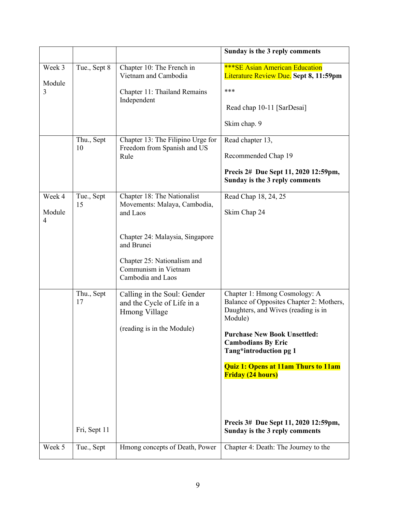|                       |                                  |                                                                                                                                                                                                      | Sunday is the 3 reply comments                                                                                                                                                                                                                                                                                                                                                |
|-----------------------|----------------------------------|------------------------------------------------------------------------------------------------------------------------------------------------------------------------------------------------------|-------------------------------------------------------------------------------------------------------------------------------------------------------------------------------------------------------------------------------------------------------------------------------------------------------------------------------------------------------------------------------|
| Week 3<br>Module<br>3 | Tue., Sept 8                     | Chapter 10: The French in<br>Vietnam and Cambodia<br>Chapter 11: Thailand Remains<br>Independent                                                                                                     | <b>***SE Asian American Education</b><br>Literature Review Due. Sept 8, 11:59pm<br>***<br>Read chap 10-11 [SarDesai]<br>Skim chap. 9                                                                                                                                                                                                                                          |
|                       | Thu., Sept<br>10                 | Chapter 13: The Filipino Urge for<br>Freedom from Spanish and US<br>Rule                                                                                                                             | Read chapter 13,<br>Recommended Chap 19<br>Precis 2# Due Sept 11, 2020 12:59pm,<br>Sunday is the 3 reply comments                                                                                                                                                                                                                                                             |
| Week 4<br>Module<br>4 | Tue., Sept<br>15                 | Chapter 18: The Nationalist<br>Movements: Malaya, Cambodia,<br>and Laos<br>Chapter 24: Malaysia, Singapore<br>and Brunei<br>Chapter 25: Nationalism and<br>Communism in Vietnam<br>Cambodia and Laos | Read Chap 18, 24, 25<br>Skim Chap 24                                                                                                                                                                                                                                                                                                                                          |
|                       | Thu., Sept<br>17<br>Fri, Sept 11 | Calling in the Soul: Gender<br>and the Cycle of Life in a<br>Hmong Village<br>(reading is in the Module)                                                                                             | Chapter 1: Hmong Cosmology: A<br>Balance of Opposites Chapter 2: Mothers,<br>Daughters, and Wives (reading is in<br>Module)<br><b>Purchase New Book Unsettled:</b><br><b>Cambodians By Eric</b><br>Tang*introduction pg 1<br><b>Quiz 1: Opens at 11am Thurs to 11am</b><br><b>Friday (24 hours)</b><br>Precis 3# Due Sept 11, 2020 12:59pm,<br>Sunday is the 3 reply comments |
| Week 5                | Tue., Sept                       | Hmong concepts of Death, Power                                                                                                                                                                       | Chapter 4: Death: The Journey to the                                                                                                                                                                                                                                                                                                                                          |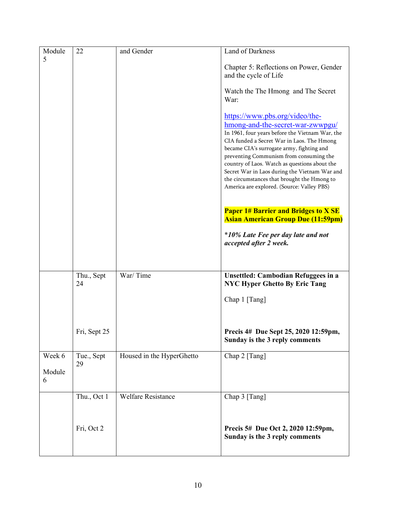| Module      | 22               | and Gender                | <b>Land of Darkness</b>                                                                                                                                                                                                                                                                                                                                                                                                                                    |
|-------------|------------------|---------------------------|------------------------------------------------------------------------------------------------------------------------------------------------------------------------------------------------------------------------------------------------------------------------------------------------------------------------------------------------------------------------------------------------------------------------------------------------------------|
| 5           |                  |                           | Chapter 5: Reflections on Power, Gender<br>and the cycle of Life                                                                                                                                                                                                                                                                                                                                                                                           |
|             |                  |                           | Watch the The Hmong and The Secret<br>War:                                                                                                                                                                                                                                                                                                                                                                                                                 |
|             |                  |                           | https://www.pbs.org/video/the-<br>hmong-and-the-secret-war-zwwpgu/<br>In 1961, four years before the Vietnam War, the<br>CIA funded a Secret War in Laos. The Hmong<br>became CIA's surrogate army, fighting and<br>preventing Communism from consuming the<br>country of Laos. Watch as questions about the<br>Secret War in Laos during the Vietnam War and<br>the circumstances that brought the Hmong to<br>America are explored. (Source: Valley PBS) |
|             |                  |                           | <b>Paper 1# Barrier and Bridges to X SE</b><br><b>Asian American Group Due (11:59pm)</b>                                                                                                                                                                                                                                                                                                                                                                   |
|             |                  |                           | *10% Late Fee per day late and not<br>accepted after 2 week.                                                                                                                                                                                                                                                                                                                                                                                               |
|             |                  |                           |                                                                                                                                                                                                                                                                                                                                                                                                                                                            |
|             | Thu., Sept<br>24 | War/Time                  | <b>Unsettled: Cambodian Refuggees in a</b><br><b>NYC Hyper Ghetto By Eric Tang</b>                                                                                                                                                                                                                                                                                                                                                                         |
|             |                  |                           | Chap 1 [Tang]                                                                                                                                                                                                                                                                                                                                                                                                                                              |
|             |                  |                           |                                                                                                                                                                                                                                                                                                                                                                                                                                                            |
|             | Fri, Sept 25     |                           | Precis 4# Due Sept 25, 2020 12:59pm,<br>Sunday is the 3 reply comments                                                                                                                                                                                                                                                                                                                                                                                     |
| Week 6      | Tue., Sept       | Housed in the HyperGhetto | Chap 2 [Tang]                                                                                                                                                                                                                                                                                                                                                                                                                                              |
| Module<br>6 | 29               |                           |                                                                                                                                                                                                                                                                                                                                                                                                                                                            |
|             | Thu., Oct 1      | <b>Welfare Resistance</b> | Chap 3 [Tang]                                                                                                                                                                                                                                                                                                                                                                                                                                              |
|             |                  |                           |                                                                                                                                                                                                                                                                                                                                                                                                                                                            |
|             | Fri, Oct 2       |                           | Precis 5# Due Oct 2, 2020 12:59pm,<br>Sunday is the 3 reply comments                                                                                                                                                                                                                                                                                                                                                                                       |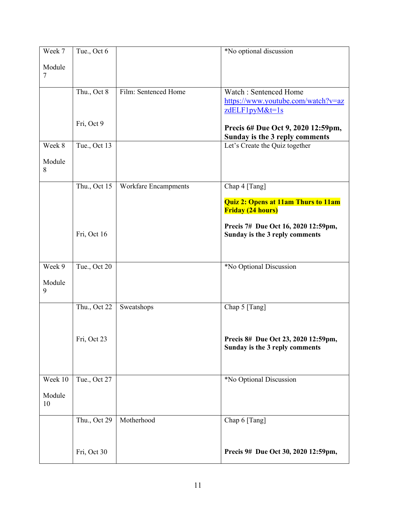| Week 7           | Tue., Oct 6  |                      | *No optional discussion                                                |
|------------------|--------------|----------------------|------------------------------------------------------------------------|
| Module<br>$\tau$ |              |                      |                                                                        |
|                  |              |                      |                                                                        |
|                  | Thu., Oct 8  | Film: Sentenced Home | Watch: Sentenced Home<br>https://www.youtube.com/watch?v=az            |
|                  |              |                      | zdELF1pyM&t=1s                                                         |
|                  | Fri, Oct 9   |                      | Precis 6# Due Oct 9, 2020 12:59pm,                                     |
|                  |              |                      | Sunday is the 3 reply comments                                         |
| Week 8           | Tue., Oct 13 |                      | Let's Create the Quiz together                                         |
| Module<br>8      |              |                      |                                                                        |
|                  | Thu., Oct 15 | Workfare Encampments | Chap 4 [Tang]                                                          |
|                  |              |                      | <b>Quiz 2: Opens at 11am Thurs to 11am</b><br><b>Friday (24 hours)</b> |
|                  | Fri, Oct 16  |                      | Precis 7# Due Oct 16, 2020 12:59pm,<br>Sunday is the 3 reply comments  |
| Week 9           | Tue., Oct 20 |                      | *No Optional Discussion                                                |
| Module<br>9      |              |                      |                                                                        |
|                  | Thu., Oct 22 | Sweatshops           | Chap 5 [Tang]                                                          |
|                  | Fri, Oct 23  |                      | Precis 8# Due Oct 23, 2020 12:59pm,<br>Sunday is the 3 reply comments  |
| Week 10          | Tue., Oct 27 |                      | *No Optional Discussion                                                |
| Module<br>10     |              |                      |                                                                        |
|                  | Thu., Oct 29 | Motherhood           | Chap 6 [Tang]                                                          |
|                  | Fri, Oct 30  |                      | Precis 9# Due Oct 30, 2020 12:59pm,                                    |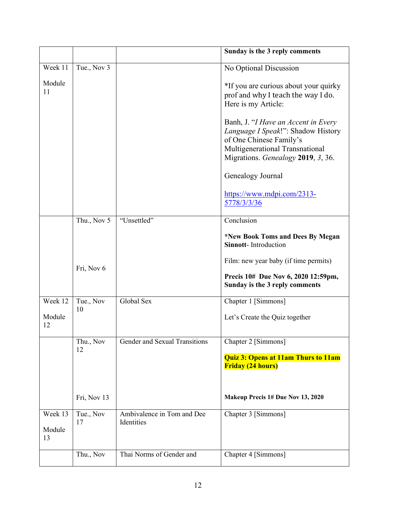|                         |                 |                                          | Sunday is the 3 reply comments                                                                                                                                                |
|-------------------------|-----------------|------------------------------------------|-------------------------------------------------------------------------------------------------------------------------------------------------------------------------------|
| Week 11                 | Tue., Nov 3     |                                          | No Optional Discussion                                                                                                                                                        |
| Module<br>11            |                 |                                          | *If you are curious about your quirky<br>prof and why I teach the way I do.<br>Here is my Article:                                                                            |
|                         |                 |                                          | Banh, J. "I Have an Accent in Every<br>Language I Speak!": Shadow History<br>of One Chinese Family's<br>Multigenerational Transnational<br>Migrations. Genealogy 2019, 3, 36. |
|                         |                 |                                          | Genealogy Journal                                                                                                                                                             |
|                         |                 |                                          | https://www.mdpi.com/2313-<br>5778/3/3/36                                                                                                                                     |
|                         | Thu., Nov 5     | "Unsettled"                              | Conclusion                                                                                                                                                                    |
|                         |                 |                                          | *New Book Toms and Dees By Megan<br><b>Sinnott-Introduction</b>                                                                                                               |
|                         |                 |                                          | Film: new year baby (if time permits)                                                                                                                                         |
|                         | Fri, Nov 6      |                                          | Precis 10# Due Nov 6, 2020 12:59pm,<br>Sunday is the 3 reply comments                                                                                                         |
| Week 12                 | Tue., Nov<br>10 | Global Sex                               | Chapter 1 [Simmons]                                                                                                                                                           |
| Module<br>12            |                 |                                          | Let's Create the Quiz together                                                                                                                                                |
|                         | Thu., Nov<br>12 | Gender and Sexual Transitions            | Chapter 2 [Simmons]                                                                                                                                                           |
|                         |                 |                                          | <b>Quiz 3: Opens at 11am Thurs to 11am</b><br><b>Friday (24 hours)</b>                                                                                                        |
|                         | Fri, Nov 13     |                                          | Makeup Precis 1# Due Nov 13, 2020                                                                                                                                             |
| Week 13<br>Module<br>13 | Tue., Nov<br>17 | Ambivalence in Tom and Dee<br>Identities | Chapter 3 [Simmons]                                                                                                                                                           |
|                         | Thu., Nov       | Thai Norms of Gender and                 | Chapter 4 [Simmons]                                                                                                                                                           |